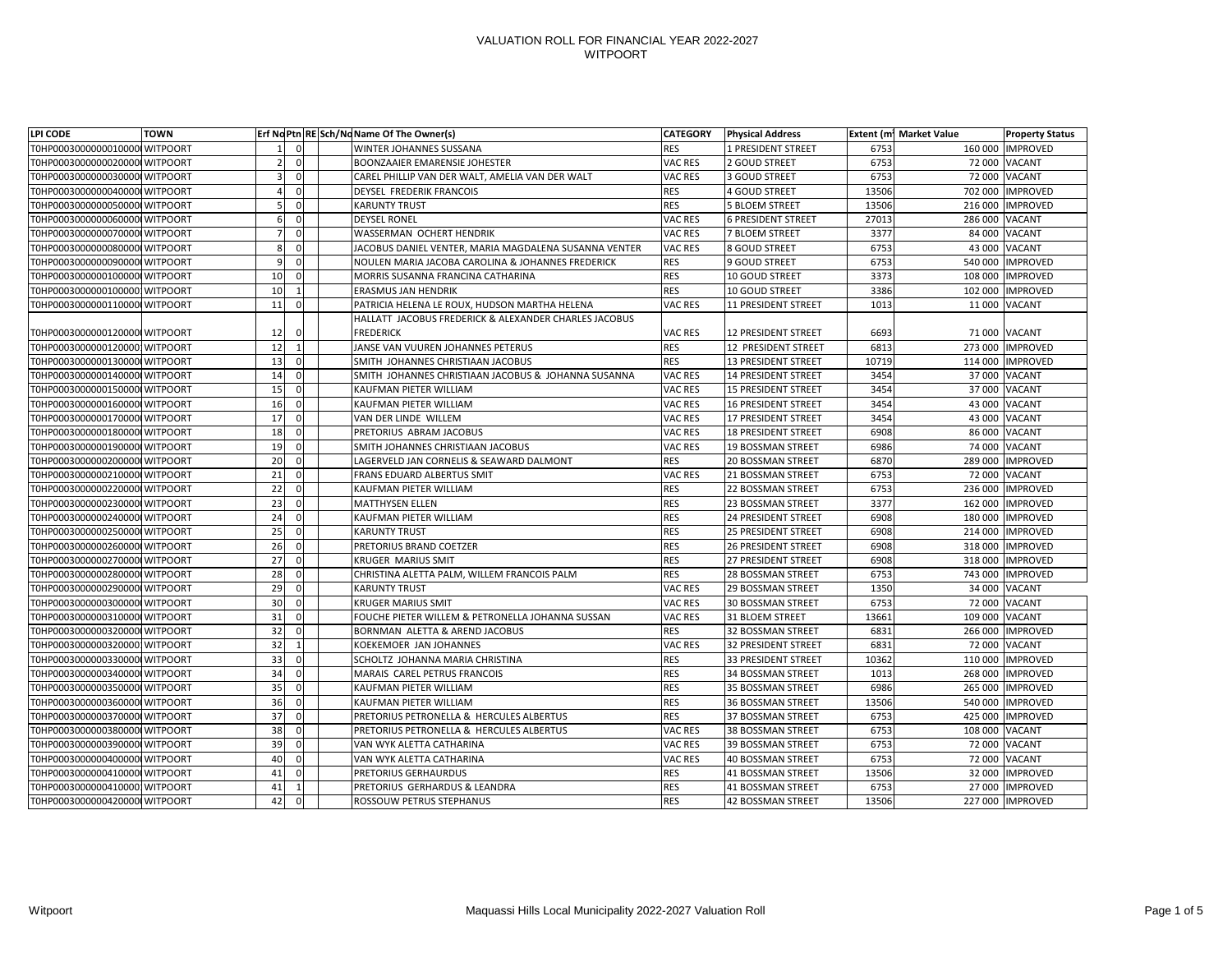| <b>LPI CODE</b>                | <b>TOWN</b> |    |                | Erf No Ptn RE Sch/No Name Of The Owner(s)             | <b>CATEGORY</b> | <b>Physical Address</b>    |       | <b>Extent (m1 Market Value</b> | <b>Property Status</b> |
|--------------------------------|-------------|----|----------------|-------------------------------------------------------|-----------------|----------------------------|-------|--------------------------------|------------------------|
| T0HP00030000000100000 WITPOORT |             |    | $\overline{0}$ | <b>WINTER JOHANNES SUSSANA</b>                        | <b>RES</b>      | 1 PRESIDENT STREET         | 6753  |                                | 160 000 IMPROVED       |
| T0HP00030000000200000 WITPOORT |             |    | $\overline{0}$ | <b>BOONZAAIER EMARENSIE JOHESTER</b>                  | VAC RES         | 2 GOUD STREET              | 6753  |                                | 72 000 VACANT          |
| T0HP00030000000300000 WITPOORT |             |    | 01             | CAREL PHILLIP VAN DER WALT, AMELIA VAN DER WALT       | VAC RES         | 3 GOUD STREET              | 6753  |                                | 72 000 VACANT          |
| T0HP00030000000400000 WITPOORT |             |    | $\overline{0}$ | DEYSEL FREDERIK FRANCOIS                              | <b>RES</b>      | 4 GOUD STREET              | 13506 |                                | 702 000 IMPROVED       |
| T0HP00030000000500000 WITPOORT |             |    | 01             | <b>KARUNTY TRUST</b>                                  | <b>RES</b>      | <b>5 BLOEM STREET</b>      | 13506 |                                | 216 000   IMPROVED     |
| T0HP00030000000600000 WITPOORT |             |    | 01             | <b>DEYSEL RONEL</b>                                   | VAC RES         | <b>6 PRESIDENT STREET</b>  | 27013 | 286 000 VACANT                 |                        |
| T0HP00030000000700000 WITPOORT |             |    | 0              | <b>WASSERMAN OCHERT HENDRIK</b>                       | VAC RES         | <b>7 BLOEM STREET</b>      | 3377  |                                | 84 000 VACANT          |
| T0HP00030000000800000 WITPOORT |             |    | 01             | JACOBUS DANIEL VENTER, MARIA MAGDALENA SUSANNA VENTER | VAC RES         | 8 GOUD STREET              | 6753  |                                | 43 000 VACANT          |
| T0HP00030000000900000 WITPOORT |             | O  | 01             | NOULEN MARIA JACOBA CAROLINA & JOHANNES FREDERICK     | <b>RES</b>      | 9 GOUD STREET              | 6753  |                                | 540 000  IMPROVED      |
| T0HP00030000001000000 WITPOORT |             | 10 | $\Omega$       | MORRIS SUSANNA FRANCINA CATHARINA                     | <b>RES</b>      | 10 GOUD STREET             | 3373  |                                | 108 000   IMPROVED     |
| T0HP00030000001000001WITPOORT  |             | 10 |                | <b>ERASMUS JAN HENDRIK</b>                            | <b>RES</b>      | 10 GOUD STREET             | 3386  |                                | 102 000 IMPROVED       |
| T0HP00030000001100000 WITPOORT |             | 11 | $\overline{0}$ | PATRICIA HELENA LE ROUX, HUDSON MARTHA HELENA         | VAC RES         | 11 PRESIDENT STREET        | 1013  |                                | 11 000 VACANT          |
|                                |             |    |                | HALLATT JACOBUS FREDERICK & ALEXANDER CHARLES JACOBUS |                 |                            |       |                                |                        |
| T0HP00030000001200000 WITPOORT |             | 12 | 01             | <b>FREDERICK</b>                                      | VAC RES         | 12 PRESIDENT STREET        | 6693  |                                | 71 000 VACANT          |
| T0HP00030000001200001WITPOORT  |             | 12 |                | JANSE VAN VUUREN JOHANNES PETERUS                     | <b>RES</b>      | 12 PRESIDENT STREET        | 6813  |                                | 273 000 IMPROVED       |
| T0HP00030000001300000 WITPOORT |             | 13 | 0              | SMITH JOHANNES CHRISTIAAN JACOBUS                     | <b>RES</b>      | <b>13 PRESIDENT STREET</b> | 10719 |                                | 114 000   IMPROVED     |
| T0HP00030000001400000 WITPOORT |             | 14 | 01             | SMITH JOHANNES CHRISTIAAN JACOBUS & JOHANNA SUSANNA   | VAC RES         | <b>14 PRESIDENT STREET</b> | 3454  |                                | 37 000 VACANT          |
| T0HP00030000001500000 WITPOORT |             | 15 | 0              | <b>KAUFMAN PIETER WILLIAM</b>                         | VAC RES         | <b>15 PRESIDENT STREET</b> | 3454  |                                | 37 000 VACANT          |
| T0HP00030000001600000 WITPOORT |             | 16 | 0              | KAUFMAN PIETER WILLIAM                                | VAC RES         | <b>16 PRESIDENT STREET</b> | 3454  |                                | 43 000 VACANT          |
| T0HP00030000001700000 WITPOORT |             | 17 | $\overline{0}$ | VAN DER LINDE WILLEM                                  | <b>VAC RES</b>  | 17 PRESIDENT STREET        | 3454  |                                | 43 000 VACANT          |
| T0HP00030000001800000 WITPOORT |             | 18 | $\overline{0}$ | <b>PRETORIUS ABRAM JACOBUS</b>                        | VAC RES         | <b>18 PRESIDENT STREET</b> | 6908  |                                | 86 000 VACANT          |
| T0HP00030000001900000 WITPOORT |             | 19 | $\overline{0}$ | <b>SMITH JOHANNES CHRISTIAAN JACOBUS</b>              | VAC RES         | <b>19 BOSSMAN STREET</b>   | 6986  |                                | 74 000 VACANT          |
| T0HP00030000002000000 WITPOORT |             | 20 | 01             | LAGERVELD JAN CORNELIS & SEAWARD DALMONT              | <b>RES</b>      | <b>20 BOSSMAN STREET</b>   | 6870  |                                | 289 000  IMPROVED      |
| T0HP00030000002100000 WITPOORT |             | 21 | $\overline{0}$ | FRANS EDUARD ALBERTUS SMIT                            | VAC RES         | 21 BOSSMAN STREET          | 6753  |                                | 72 000 VACANT          |
| T0HP00030000002200000 WITPOORT |             | 22 | 01             | KAUFMAN PIETER WILLIAM                                | <b>RES</b>      | <b>22 BOSSMAN STREET</b>   | 6753  |                                | 236 000  IMPROVED      |
| T0HP00030000002300000 WITPOORT |             | 23 | 0              | <b>MATTHYSEN ELLEN</b>                                | <b>RES</b>      | 23 BOSSMAN STREET          | 3377  |                                | 162 000 IMPROVED       |
| T0HP00030000002400000 WITPOORT |             | 24 | 0              | KAUFMAN PIETER WILLIAM                                | <b>RES</b>      | <b>24 PRESIDENT STREET</b> | 6908  |                                | 180 000   IMPROVED     |
| T0HP00030000002500000 WITPOORT |             | 25 | 0              | <b>KARUNTY TRUST</b>                                  | <b>RES</b>      | <b>25 PRESIDENT STREET</b> | 6908  |                                | 214 000 IMPROVED       |
| T0HP00030000002600000 WITPOORT |             | 26 | 0              | <b>PRETORIUS BRAND COETZER</b>                        | <b>RES</b>      | <b>26 PRESIDENT STREET</b> | 6908  |                                | 318 000 IMPROVED       |
| T0HP00030000002700000 WITPOORT |             | 27 | 0              | <b>KRUGER MARIUS SMIT</b>                             | <b>RES</b>      | 27 PRESIDENT STREET        | 6908  |                                | 318 000   IMPROVED     |
| T0HP00030000002800000 WITPOORT |             | 28 | $\overline{0}$ | CHRISTINA ALETTA PALM, WILLEM FRANCOIS PALM           | <b>RES</b>      | <b>28 BOSSMAN STREET</b>   | 6753  |                                | 743 000 IMPROVED       |
| T0HP00030000002900000 WITPOORT |             | 29 | ΟI             | <b>KARUNTY TRUST</b>                                  | VAC RES         | <b>29 BOSSMAN STREET</b>   | 1350  |                                | 34 000 VACANT          |
| T0HP00030000003000000 WITPOORT |             | 30 | $\overline{0}$ | <b>KRUGER MARIUS SMIT</b>                             | VAC RES         | <b>30 BOSSMAN STREET</b>   | 6753  |                                | 72 000 VACANT          |
| T0HP00030000003100000 WITPOORT |             | 31 | 0              | FOUCHE PIETER WILLEM & PETRONELLA JOHANNA SUSSAN      | VAC RES         | 31 BLOEM STREET            | 13661 | 109 000 VACANT                 |                        |
| T0HP00030000003200000 WITPOORT |             | 32 | U              | <b>BORNMAN ALETTA &amp; AREND JACOBUS</b>             | <b>RES</b>      | 32 BOSSMAN STREET          | 6831  |                                | 266 000  IMPROVED      |
| T0HP00030000003200001WITPOORT  |             | 32 |                | KOEKEMOER JAN JOHANNES                                | VAC RES         | <b>32 PRESIDENT STREET</b> | 6831  |                                | 72 000 VACANT          |
| T0HP00030000003300000 WITPOORT |             | 33 |                | SCHOLTZ JOHANNA MARIA CHRISTINA                       | <b>RES</b>      | <b>33 PRESIDENT STREET</b> | 10362 |                                | 110 000   IMPROVED     |
| T0HP00030000003400000 WITPOORT |             | 34 |                | MARAIS CAREL PETRUS FRANCOIS                          | <b>RES</b>      | <b>34 BOSSMAN STREET</b>   | 1013  |                                | 268 000   IMPROVED     |
| T0HP00030000003500000 WITPOORT |             | 35 |                | KAUFMAN PIETER WILLIAM                                | <b>RES</b>      | <b>35 BOSSMAN STREET</b>   | 6986  |                                | 265 000   IMPROVED     |
| T0HP00030000003600000 WITPOORT |             | 36 | 0              | KAUFMAN PIETER WILLIAM                                | <b>RES</b>      | <b>36 BOSSMAN STREET</b>   | 13506 |                                | 540 000 IMPROVED       |
| T0HP00030000003700000 WITPOORT |             | 37 |                | <b>PRETORIUS PETRONELLA &amp; HERCULES ALBERTUS</b>   | <b>RES</b>      | <b>37 BOSSMAN STREET</b>   | 6753  |                                | 425 000 IMPROVED       |
| T0HP00030000003800000 WITPOORT |             | 38 |                | <b>PRETORIUS PETRONELLA &amp; HERCULES ALBERTUS</b>   | VAC RES         | <b>38 BOSSMAN STREET</b>   | 6753  | 108 000 VACANT                 |                        |
| T0HP00030000003900000 WITPOORT |             | 39 |                | VAN WYK ALETTA CATHARINA                              | VAC RES         | <b>39 BOSSMAN STREET</b>   | 6753  |                                | 72 000 VACANT          |
| T0HP00030000004000000 WITPOORT |             | 40 | $\overline{0}$ | VAN WYK ALETTA CATHARINA                              | VAC RES         | <b>40 BOSSMAN STREET</b>   | 6753  |                                | 72 000 VACANT          |
| T0HP00030000004100000 WITPOORT |             |    |                | <b>PRETORIUS GERHAURDUS</b>                           | <b>RES</b>      | 41 BOSSMAN STREET          | 13506 |                                | 32 000 IMPROVED        |
|                                |             | 41 | 01             |                                                       |                 |                            |       |                                |                        |
| T0HP00030000004100001WITPOORT  |             | 41 |                | <b>PRETORIUS GERHARDUS &amp; LEANDRA</b>              | <b>RES</b>      | 41 BOSSMAN STREET          | 6753  |                                | 27 000 IMPROVED        |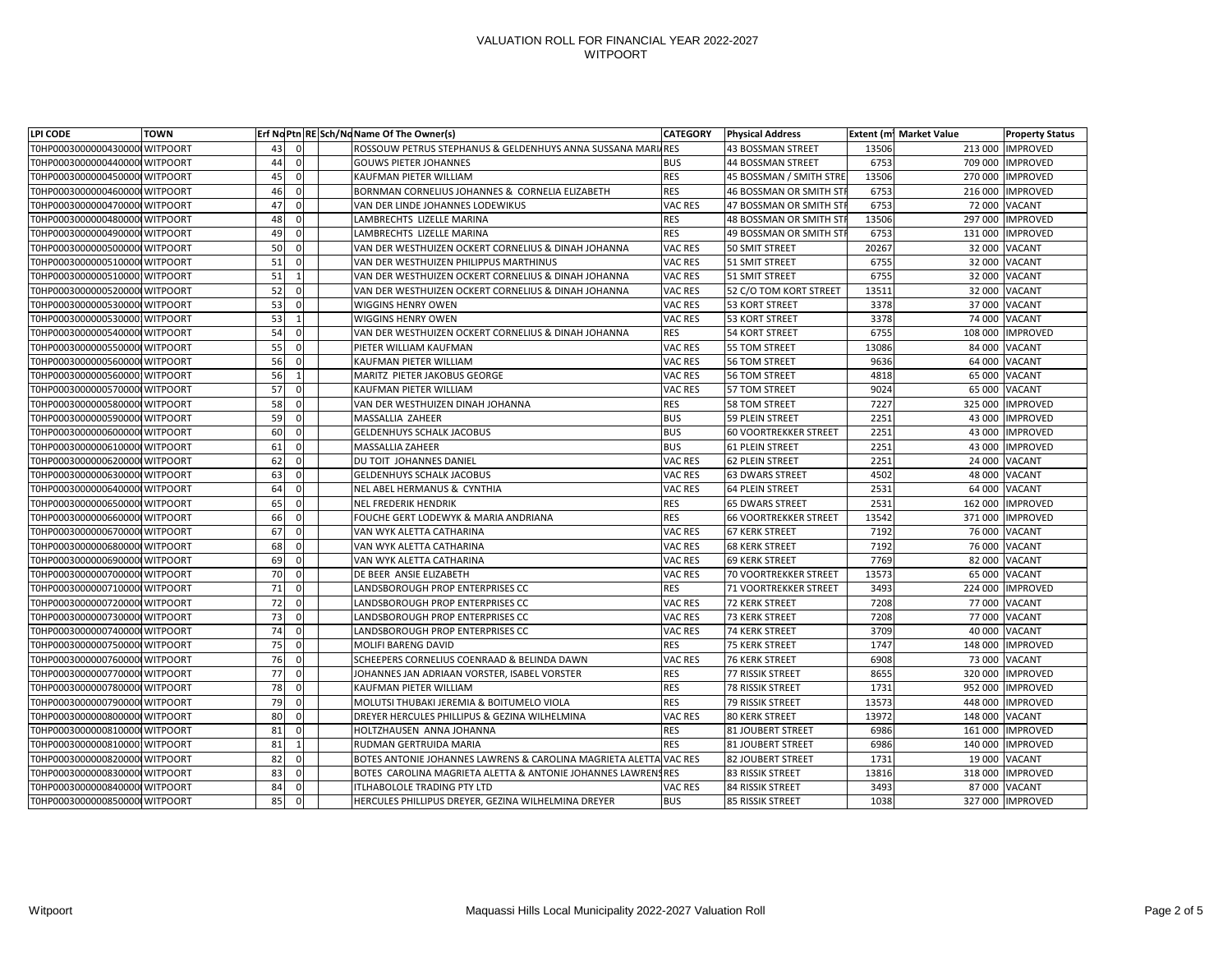| LPI CODE                       | <b>TOWN</b> |    |                | Erf No Ptn RE Sch/No Name Of The Owner(s)                         | <b>CATEGORY</b> | <b>Physical Address</b>        |       | <b>Extent (m1 Market Value</b> | <b>Property Status</b> |
|--------------------------------|-------------|----|----------------|-------------------------------------------------------------------|-----------------|--------------------------------|-------|--------------------------------|------------------------|
| T0HP00030000004300000 WITPOORT |             | 43 | 0I             | ROSSOUW PETRUS STEPHANUS & GELDENHUYS ANNA SUSSANA MARIARES       |                 | <b>43 BOSSMAN STREET</b>       | 13506 | 213 000                        | <b>IMPROVED</b>        |
| T0HP00030000004400000 WITPOORT |             | 44 | $\overline{0}$ | <b>GOUWS PIETER JOHANNES</b>                                      | <b>BUS</b>      | <b>44 BOSSMAN STREET</b>       | 6753  | 709 000                        | <b>IMPROVED</b>        |
| T0HP00030000004500000 WITPOORT |             | 45 | 0I             | <b>KAUFMAN PIETER WILLIAM</b>                                     | <b>RES</b>      | 45 BOSSMAN / SMITH STRE        | 13506 |                                | 270 000 IMPROVED       |
| T0HP00030000004600000 WITPOORT |             | 46 | 0I             | BORNMAN CORNELIUS JOHANNES & CORNELIA ELIZABETH                   | <b>RES</b>      | <b>46 BOSSMAN OR SMITH STR</b> | 6753  | 216 000                        | <b>IMPROVED</b>        |
| T0HP00030000004700000 WITPOORT |             | 47 | $\overline{0}$ | VAN DER LINDE JOHANNES LODEWIKUS                                  | VAC RES         | 47 BOSSMAN OR SMITH STI        | 6753  |                                | 72 000 VACANT          |
| T0HP00030000004800000 WITPOORT |             | 48 | $\Omega$       | LAMBRECHTS LIZELLE MARINA                                         | <b>RES</b>      | 48 BOSSMAN OR SMITH STI        | 13506 | 297 000                        | <b>IMPROVED</b>        |
| T0HP00030000004900000 WITPOORT |             | 49 | 0I             | LAMBRECHTS LIZELLE MARINA                                         | <b>RES</b>      | 49 BOSSMAN OR SMITH STI        | 6753  | 131 000                        | <b>IMPROVED</b>        |
| T0HP00030000005000000 WITPOORT |             | 50 | 0              | VAN DER WESTHUIZEN OCKERT CORNELIUS & DINAH JOHANNA               | VAC RES         | 50 SMIT STREET                 | 20267 |                                | 32 000 VACANT          |
| T0HP00030000005100000 WITPOORT |             | 51 | $\overline{0}$ | VAN DER WESTHUIZEN PHILIPPUS MARTHINUS                            | VAC RES         | 51 SMIT STREET                 | 6755  |                                | 32 000 VACANT          |
| T0HP00030000005100001WITPOORT  |             | 51 |                | VAN DER WESTHUIZEN OCKERT CORNELIUS & DINAH JOHANNA               | <b>VAC RES</b>  | 51 SMIT STREET                 | 6755  |                                | 32 000 VACANT          |
| T0HP00030000005200000 WITPOORT |             | 52 | $\Omega$       | VAN DER WESTHUIZEN OCKERT CORNELIUS & DINAH JOHANNA               | <b>VAC RES</b>  | 52 C/O TOM KORT STREET         | 13511 |                                | 32 000 VACANT          |
| T0HP00030000005300000 WITPOORT |             | 53 | <sup>0</sup>   | <b>WIGGINS HENRY OWEN</b>                                         | VAC RES         | <b>53 KORT STREET</b>          | 3378  |                                | 37 000 VACANT          |
| T0HP00030000005300001WITPOORT  |             | 53 |                | <b>WIGGINS HENRY OWEN</b>                                         | VAC RES         | <b>53 KORT STREET</b>          | 3378  |                                | 74 000 VACANT          |
| T0HP00030000005400000 WITPOORT |             | 54 | $\Omega$       | VAN DER WESTHUIZEN OCKERT CORNELIUS & DINAH JOHANNA               | <b>RES</b>      | <b>54 KORT STREET</b>          | 6755  | 108 000                        | <b>IMPROVED</b>        |
| T0HP00030000005500000 WITPOORT |             | 55 | 0I             | PIETER WILLIAM KAUFMAN                                            | VAC RES         | 55 TOM STREET                  | 13086 |                                | 84 000 VACANT          |
| T0HP00030000005600000 WITPOORT |             | 56 | ΟI             | <b>KAUFMAN PIETER WILLIAM</b>                                     | VAC RES         | 56 TOM STREET                  | 9636  |                                | 64 000 VACANT          |
| T0HP00030000005600001WITPOORT  |             | 56 |                | MARITZ PIETER JAKOBUS GEORGE                                      | VAC RES         | 56 TOM STREET                  | 4818  |                                | 65 000 VACANT          |
| T0HP00030000005700000 WITPOORT |             | 57 | $\Omega$       | <b>KAUFMAN PIETER WILLIAM</b>                                     | VAC RES         | 57 TOM STREET                  | 9024  | 65 000                         | <b>VACANT</b>          |
| T0HP00030000005800000 WITPOORT |             | 58 | 0              | VAN DER WESTHUIZEN DINAH JOHANNA                                  | <b>RES</b>      | <b>58 TOM STREET</b>           | 7227  | 325 000                        | <b>IMPROVED</b>        |
| T0HP00030000005900000 WITPOORT |             | 59 | 01             | MASSALLIA ZAHEER                                                  | <b>BUS</b>      | 59 PLEIN STREET                | 2251  | 43 000                         | <b>IMPROVED</b>        |
| T0HP00030000006000000 WITPOORT |             | 60 |                | <b>GELDENHUYS SCHALK JACOBUS</b>                                  | <b>BUS</b>      | <b>60 VOORTREKKER STREET</b>   | 2251  | 43 000                         | <b>IMPROVED</b>        |
| T0HP00030000006100000 WITPOORT |             | 61 | 0I             | <b>MASSALLIA ZAHEER</b>                                           | <b>BUS</b>      | <b>61 PLEIN STREET</b>         | 2251  | 43 000                         | <b>IMPROVED</b>        |
| T0HP00030000006200000 WITPOORT |             | 62 | <sup>0</sup>   | DU TOIT JOHANNES DANIEL                                           | VAC RES         | <b>62 PLEIN STREET</b>         | 2251  |                                | 24 000 VACANT          |
| T0HP00030000006300000 WITPOORT |             | 63 | 0I             | <b>GELDENHUYS SCHALK JACOBUS</b>                                  | VAC RES         | <b>63 DWARS STREET</b>         | 4502  |                                | 48 000 VACANT          |
| T0HP00030000006400000 WITPOORT |             | 64 | ΟI             | <b>NEL ABEL HERMANUS &amp; CYNTHIA</b>                            | VAC RES         | 64 PLEIN STREET                | 2531  |                                | 64 000 VACANT          |
| T0HP00030000006500000 WITPOORT |             | 65 | 0I             | <b>NEL FREDERIK HENDRIK</b>                                       | <b>RES</b>      | <b>65 DWARS STREET</b>         | 2531  | 162 000                        | <b>IMPROVED</b>        |
| T0HP00030000006600000 WITPOORT |             | 66 | ΟI             | FOUCHE GERT LODEWYK & MARIA ANDRIANA                              | <b>RES</b>      | <b>66 VOORTREKKER STREET</b>   | 13542 | 371 000                        | <b>IMPROVED</b>        |
| T0HP00030000006700000 WITPOORT |             | 67 | <sup>n</sup>   | VAN WYK ALETTA CATHARINA                                          | VAC RES         | <b>67 KERK STREET</b>          | 7192  |                                | 76 000 VACANT          |
| T0HP00030000006800000 WITPOORT |             | 68 | ΟI             | VAN WYK ALETTA CATHARINA                                          | VAC RES         | <b>68 KERK STREET</b>          | 7192  |                                | 76 000 VACANT          |
| T0HP00030000006900000 WITPOORT |             | 69 | <sup>O</sup> I | VAN WYK ALETTA CATHARINA                                          | <b>VAC RES</b>  | 69 KERK STREET                 | 7769  |                                | 82 000 VACANT          |
| T0HP00030000007000000 WITPOORT |             | 70 | 0I             | DE BEER ANSIE ELIZABETH                                           | VAC RES         | <b>70 VOORTREKKER STREET</b>   | 13573 |                                | 65 000 VACANT          |
| T0HP00030000007100000 WITPOORT |             | 71 |                | LANDSBOROUGH PROP ENTERPRISES CC                                  | <b>RES</b>      | 71 VOORTREKKER STREET          | 3493  |                                | 224 000 IMPROVED       |
| T0HP00030000007200000 WITPOORT |             | 72 | <sup>0</sup>   | LANDSBOROUGH PROP ENTERPRISES CC                                  | VAC RES         | 72 KERK STREET                 | 7208  |                                | 77 000 VACANT          |
| T0HP00030000007300000 WITPOORT |             | 73 | 0              | LANDSBOROUGH PROP ENTERPRISES CC                                  | VAC RES         | 73 KERK STREET                 | 7208  |                                | 77 000 VACANT          |
| T0HP00030000007400000 WITPOORT |             | 74 | 0I             | LANDSBOROUGH PROP ENTERPRISES CC                                  | VAC RES         | 74 KERK STREET                 | 3709  |                                | 40 000 VACANT          |
| T0HP00030000007500000 WITPOORT |             | 75 | ΟI             | <b>MOLIFI BARENG DAVID</b>                                        | <b>RES</b>      | 75 KERK STREET                 | 1747  |                                | 148 000 IMPROVED       |
| T0HP00030000007600000 WITPOORT |             | 76 | 0I             | <b>SCHEEPERS CORNELIUS COENRAAD &amp; BELINDA DAWN</b>            | VAC RES         | <b>76 KERK STREET</b>          | 6908  |                                | 73 000 VACANT          |
| T0HP00030000007700000 WITPOORT |             | 77 | 0I             | JOHANNES JAN ADRIAAN VORSTER, ISABEL VORSTER                      | <b>RES</b>      | 77 RISSIK STREET               | 8655  |                                | 320 000 IMPROVED       |
| T0HP00030000007800000 WITPOORT |             | 78 |                | <b>KAUFMAN PIETER WILLIAM</b>                                     | <b>RES</b>      | <b>78 RISSIK STREET</b>        | 1731  | 952 000                        | <b>IMPROVED</b>        |
| T0HP00030000007900000 WITPOORT |             | 79 | 01             | MOLUTSI THUBAKI JEREMIA & BOITUMELO VIOLA                         | <b>RES</b>      | 79 RISSIK STREET               | 13573 | 448 000                        | IMPROVED               |
| T0HP00030000008000000 WITPOORT |             | 80 |                | DREYER HERCULES PHILLIPUS & GEZINA WILHELMINA                     | VAC RES         | <b>80 KERK STREET</b>          | 13972 | 148 000 VACANT                 |                        |
| T0HP00030000008100000 WITPOORT |             | 81 |                | HOLTZHAUSEN ANNA JOHANNA                                          | <b>RES</b>      | <b>81 JOUBERT STREET</b>       | 6986  | 161 000                        | <b>IMPROVED</b>        |
| T0HP00030000008100001WITPOORT  |             | 81 |                | RUDMAN GERTRUIDA MARIA                                            | <b>RES</b>      | <b>81 JOUBERT STREET</b>       | 6986  |                                | 140 000 IMPROVED       |
| T0HP00030000008200000 WITPOORT |             | 82 | 0              | BOTES ANTONIE JOHANNES LAWRENS & CAROLINA MAGRIETA ALETTA VAC RES |                 | 82 JOUBERT STREET              | 1731  |                                | 19 000 VACANT          |
| T0HP00030000008300000 WITPOORT |             | 83 |                | BOTES CAROLINA MAGRIETA ALETTA & ANTONIE JOHANNES LAWRENSRES      |                 | 83 RISSIK STREET               | 13816 |                                | 318 000 IMPROVED       |
| T0HP00030000008400000 WITPOORT |             | 84 | 0              | <b>ITLHABOLOLE TRADING PTY LTD</b>                                | VAC RES         | 84 RISSIK STREET               | 3493  |                                | 87 000 VACANT          |
| T0HP00030000008500000 WITPOORT |             | 85 | 0              | HERCULES PHILLIPUS DREYER, GEZINA WILHELMINA DREYER               | <b>BUS</b>      | 85 RISSIK STREET               | 1038  |                                | 327 000 IMPROVED       |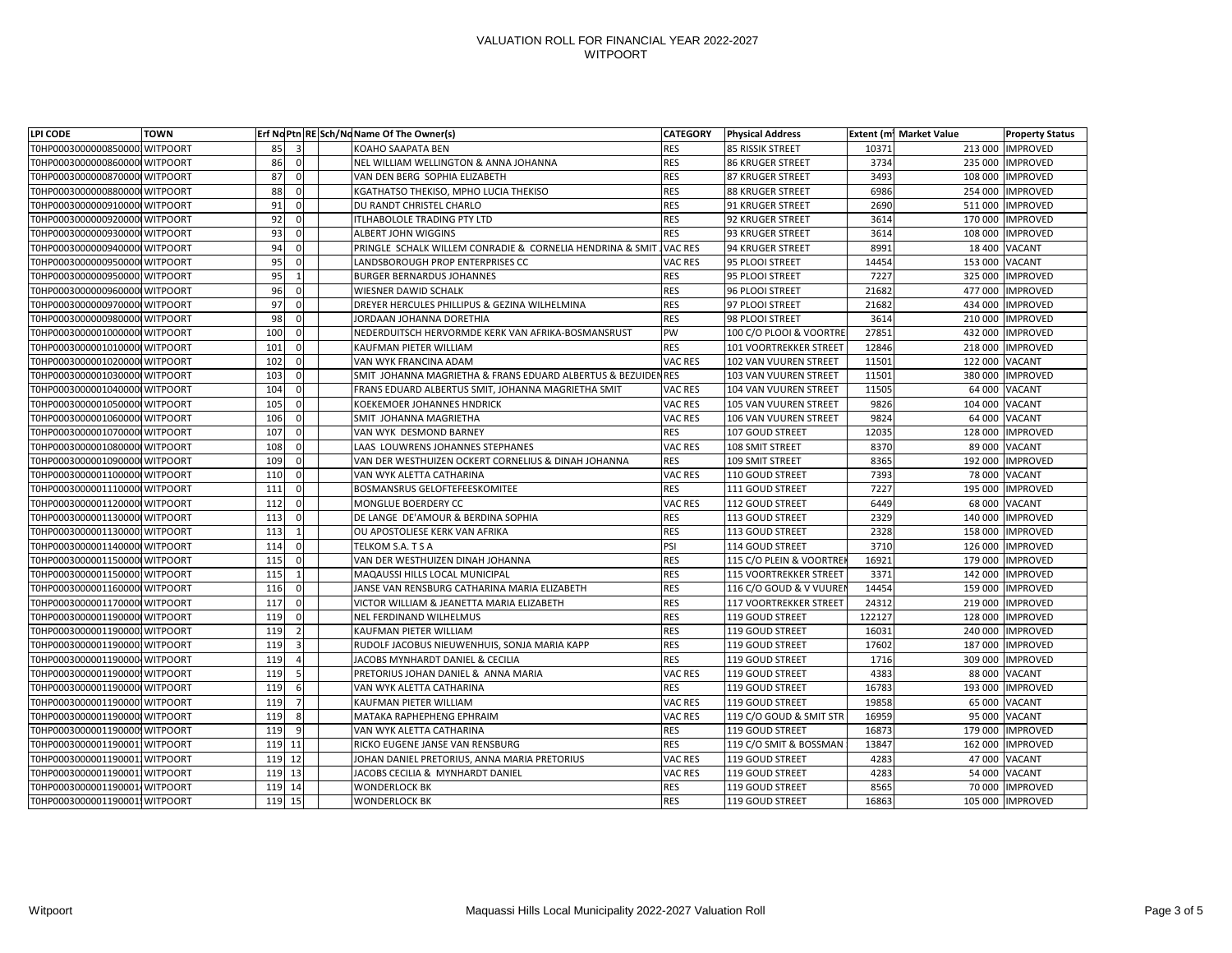| LPI CODE                       | <b>TOWN</b> |        |              | Erf No Ptn   RE Sch/No Name Of The Owner(s)                  | <b>CATEGORY</b> | <b>Physical Address</b>       |        | <b>Extent (m1 Market Value</b> | <b>Property Status</b> |
|--------------------------------|-------------|--------|--------------|--------------------------------------------------------------|-----------------|-------------------------------|--------|--------------------------------|------------------------|
| T0HP00030000008500001WITPOORT  |             | 85     |              | <b>KOAHO SAAPATA BEN</b>                                     | <b>RES</b>      | 85 RISSIK STREET              | 10371  | 213 000                        | <b>IMPROVED</b>        |
| T0HP00030000008600000 WITPOORT |             | 86     | <sup>0</sup> | NEL WILLIAM WELLINGTON & ANNA JOHANNA                        | <b>RES</b>      | <b>86 KRUGER STREET</b>       | 3734   | 235 000                        | <b>IMPROVED</b>        |
| T0HP00030000008700000 WITPOORT |             | 87     |              | VAN DEN BERG SOPHIA ELIZABETH                                | <b>RES</b>      | 87 KRUGER STREET              | 3493   | 108 000                        | <b>IMPROVED</b>        |
| T0HP00030000008800000 WITPOORT |             | 88     | $\Omega$     | KGATHATSO THEKISO, MPHO LUCIA THEKISO                        | <b>RES</b>      | 88 KRUGER STREET              | 6986   | 254 000                        | <b>IMPROVED</b>        |
| T0HP00030000009100000 WITPOORT |             | 91     | 0            | DU RANDT CHRISTEL CHARLO                                     | <b>RES</b>      | 91 KRUGER STREET              | 2690   |                                | 511 000 IMPROVED       |
| T0HP00030000009200000 WITPOORT |             | 92     | <sup>0</sup> | ITLHABOLOLE TRADING PTY LTD                                  | <b>RES</b>      | 92 KRUGER STREET              | 3614   | 170 000                        | <b>IMPROVED</b>        |
| T0HP00030000009300000 WITPOORT |             | 93     | 0            | <b>ALBERT JOHN WIGGINS</b>                                   | <b>RES</b>      | 93 KRUGER STREET              | 3614   | 108 000                        | <b>IMPROVED</b>        |
| T0HP00030000009400000 WITPOORT |             | 94     |              | PRINGLE SCHALK WILLEM CONRADIE & CORNELIA HENDRINA & SMIT    | <b>VAC RES</b>  | 94 KRUGER STREET              | 8991   |                                | 18 400 VACANT          |
| T0HP00030000009500000 WITPOORT |             | 95     | 0            | LANDSBOROUGH PROP ENTERPRISES CC                             | VAC RES         | 95 PLOOI STREET               | 14454  | 153 000 VACANT                 |                        |
| T0HP00030000009500001WITPOORT  |             | 95     |              | <b>BURGER BERNARDUS JOHANNES</b>                             | <b>RES</b>      | 95 PLOOI STREET               | 7227   | 325 000                        | <b>IMPROVED</b>        |
| T0HP00030000009600000 WITPOORT |             | 96     | 0            | <b>WIESNER DAWID SCHALK</b>                                  | <b>RES</b>      | 96 PLOOI STREET               | 21682  | 477 000                        | <b>IMPROVED</b>        |
| T0HP00030000009700000 WITPOORT |             | 97     |              | DREYER HERCULES PHILLIPUS & GEZINA WILHELMINA                | <b>RES</b>      | 97 PLOOI STREET               | 21682  | 434 000                        | <b>IMPROVED</b>        |
| T0HP00030000009800000 WITPOORT |             | 98     | <sup>0</sup> | JORDAAN JOHANNA DORETHIA                                     | <b>RES</b>      | 98 PLOOI STREET               | 3614   | 210 000                        | <b>IMPROVED</b>        |
| T0HP00030000010000000 WITPOORT |             | 100    |              | NEDERDUITSCH HERVORMDE KERK VAN AFRIKA-BOSMANSRUST           | PW              | 100 C/O PLOOI & VOORTRE       | 27851  | 432 000                        | <b>IMPROVED</b>        |
| T0HP00030000010100000 WITPOORT |             | 101    | <sup>0</sup> | <b>KAUFMAN PIETER WILLIAM</b>                                | <b>RES</b>      | 101 VOORTREKKER STREET        | 12846  | 218 000                        | <b>IMPROVED</b>        |
| T0HP00030000010200000 WITPOORT |             | 102    | <sup>0</sup> | <b>VAN WYK FRANCINA ADAM</b>                                 | VAC RES         | 102 VAN VUUREN STREET         | 11501  | 122 000 VACANT                 |                        |
| T0HP00030000010300000 WITPOORT |             | 103    | 0            | SMIT JOHANNA MAGRIETHA & FRANS EDUARD ALBERTUS & BEZUIDENRES |                 | 103 VAN VUUREN STREET         | 11501  | 380 000                        | <b>IMPROVED</b>        |
| T0HP00030000010400000 WITPOORT |             | 104    | 0            | FRANS EDUARD ALBERTUS SMIT, JOHANNA MAGRIETHA SMIT           | VAC RES         | 104 VAN VUUREN STREET         | 11505  |                                | 64 000 VACANT          |
| T0HP00030000010500000 WITPOORT |             | 105    | O            | <b>KOEKEMOER JOHANNES HNDRICK</b>                            | VAC RES         | 105 VAN VUUREN STREET         | 9826   | 104 000 VACANT                 |                        |
| T0HP00030000010600000 WITPOORT |             | 106    | 01           | SMIT JOHANNA MAGRIETHA                                       | VAC RES         | 106 VAN VUUREN STREET         | 9824   |                                | 64 000 VACANT          |
| T0HP00030000010700000 WITPOORT |             | 107    | 0            | VAN WYK DESMOND BARNEY                                       | <b>RES</b>      | 107 GOUD STREET               | 12035  | 128 000                        | <b>IMPROVED</b>        |
| T0HP00030000010800000 WITPOORT |             | 108    | 0            | LAAS LOUWRENS JOHANNES STEPHANES                             | VAC RES         | 108 SMIT STREET               | 8370   | 89 000                         | <b>VACANT</b>          |
| T0HP00030000010900000 WITPOORT |             | 109    |              | VAN DER WESTHUIZEN OCKERT CORNELIUS & DINAH JOHANNA          | <b>RES</b>      | 109 SMIT STREET               | 8365   | 192 000                        | <b>IMPROVED</b>        |
| T0HP00030000011000000 WITPOORT |             | 110    | 0            | VAN WYK ALETTA CATHARINA                                     | VAC RES         | 110 GOUD STREET               | 7393   | 78 000                         | <b>VACANT</b>          |
| T0HP00030000011100000 WITPOORT |             | 111    | 0            | <b>BOSMANSRUS GELOFTEFEESKOMITEE</b>                         | <b>RES</b>      | 111 GOUD STREET               | 7227   | 195 000                        | <b>IMPROVED</b>        |
| T0HP00030000011200000 WITPOORT |             | 112    | <sup>0</sup> | MONGLUE BOERDERY CC                                          | VAC RES         | 112 GOUD STREET               | 6449   | 68 000                         | <b>VACANT</b>          |
| T0HP00030000011300000 WITPOORT |             | 113    | 0            | DE LANGE DE'AMOUR & BERDINA SOPHIA                           | <b>RES</b>      | 113 GOUD STREET               | 2329   |                                | 140 000 IMPROVED       |
| T0HP00030000011300001WITPOORT  |             | 113    |              | OU APOSTOLIESE KERK VAN AFRIKA                               | <b>RES</b>      | 113 GOUD STREET               | 2328   |                                | 158 000   IMPROVED     |
| T0HP00030000011400000 WITPOORT |             | 114    | 0            | TELKOM S.A. T S A                                            | PSI             | 114 GOUD STREET               | 3710   |                                | 126 000 IMPROVED       |
| T0HP00030000011500000WITPOORT  |             | 115    | - O I        | VAN DER WESTHUIZEN DINAH JOHANNA                             | <b>RES</b>      | 115 C/O PLEIN & VOORTREN      | 16921  |                                | 179 000 IMPROVED       |
| T0HP00030000011500001WITPOORT  |             | 115    |              | <b>MAQAUSSI HILLS LOCAL MUNICIPAL</b>                        | <b>RES</b>      | <b>115 VOORTREKKER STREET</b> | 3371   |                                | 142 000 IMPROVED       |
| T0HP00030000011600000 WITPOORT |             | 116    |              | JANSE VAN RENSBURG CATHARINA MARIA ELIZABETH                 | <b>RES</b>      | 116 C/O GOUD & V VUUREN       | 14454  | 159 000                        | <b>IMPROVED</b>        |
| T0HP00030000011700000 WITPOORT |             | 117    |              | VICTOR WILLIAM & JEANETTA MARIA ELIZABETH                    | <b>RES</b>      | 117 VOORTREKKER STREET        | 24312  | 219 000                        | <b>IMPROVED</b>        |
| T0HP00030000011900000 WITPOORT |             | 119    |              | <b>NEL FERDINAND WILHELMUS</b>                               | <b>RES</b>      | 119 GOUD STREET               | 122127 | 128 000                        | <b>IMPROVED</b>        |
| T0HP00030000011900001WITPOORT  |             | 119    |              | <b>KAUFMAN PIETER WILLIAM</b>                                | <b>RES</b>      | 119 GOUD STREET               | 16031  | 240 000                        | <b>IMPROVED</b>        |
| T0HP00030000011900001WITPOORT  |             | 119    |              | RUDOLF JACOBUS NIEUWENHUIS, SONJA MARIA KAPP                 | <b>RES</b>      | 119 GOUD STREET               | 17602  |                                | 187 000 IMPROVED       |
| T0HP0003000001190000 WITPOORT  |             | 119    |              | JACOBS MYNHARDT DANIEL & CECILIA                             | <b>RES</b>      | 119 GOUD STREET               | 1716   |                                | 309 000 IMPROVED       |
| T0HP0003000001190000 WITPOORT  |             | 119    |              | PRETORIUS JOHAN DANIEL & ANNA MARIA                          | VAC RES         | 119 GOUD STREET               | 4383   |                                | 88 000 VACANT          |
| T0HP00030000011900000 WITPOORT |             | 119    |              | VAN WYK ALETTA CATHARINA                                     | <b>RES</b>      | 119 GOUD STREET               | 16783  |                                | 193 000 IMPROVED       |
| T0HP00030000011900001WITPOORT  |             | 119    |              | <b>KAUFMAN PIETER WILLIAM</b>                                | VAC RES         | 119 GOUD STREET               | 19858  |                                | 65 000 VACANT          |
| T0HP00030000011900001WITPOORT  |             | 119    | 8            | <b>MATAKA RAPHEPHENG EPHRAIM</b>                             | VAC RES         | 119 C/O GOUD & SMIT STR       | 16959  |                                | 95 000 VACANT          |
| T0HP00030000011900001WITPOORT  |             | 119    |              | VAN WYK ALETTA CATHARINA                                     | <b>RES</b>      | 119 GOUD STREET               | 16873  |                                | 179 000 IMPROVED       |
| T0HP00030000011900011WITPOORT  |             | 119    | 11           | RICKO EUGENE JANSE VAN RENSBURG                              | <b>RES</b>      | 119 C/O SMIT & BOSSMAN        | 13847  | 162 000                        | <b>IMPROVED</b>        |
| T0HP00030000011900011WITPOORT  |             | 119    | 12           | JOHAN DANIEL PRETORIUS, ANNA MARIA PRETORIUS                 | <b>VAC RES</b>  | 119 GOUD STREET               | 4283   | 47 000                         | <b>VACANT</b>          |
| T0HP00030000011900011WITPOORT  |             | 119    | 13           | JACOBS CECILIA & MYNHARDT DANIEL                             | VAC RES         | 119 GOUD STREET               | 4283   |                                | 54 000 VACANT          |
| T0HP0003000001190001 WITPOORT  |             | 119 14 |              | <b>WONDERLOCK BK</b>                                         | <b>RES</b>      | 119 GOUD STREET               | 8565   | 70 000                         | <b>IMPROVED</b>        |
| T0HP0003000001190001 WITPOORT  |             | 119    | 15           | <b>WONDERLOCK BK</b>                                         | <b>RES</b>      | 119 GOUD STREET               | 16863  |                                | 105 000 IMPROVED       |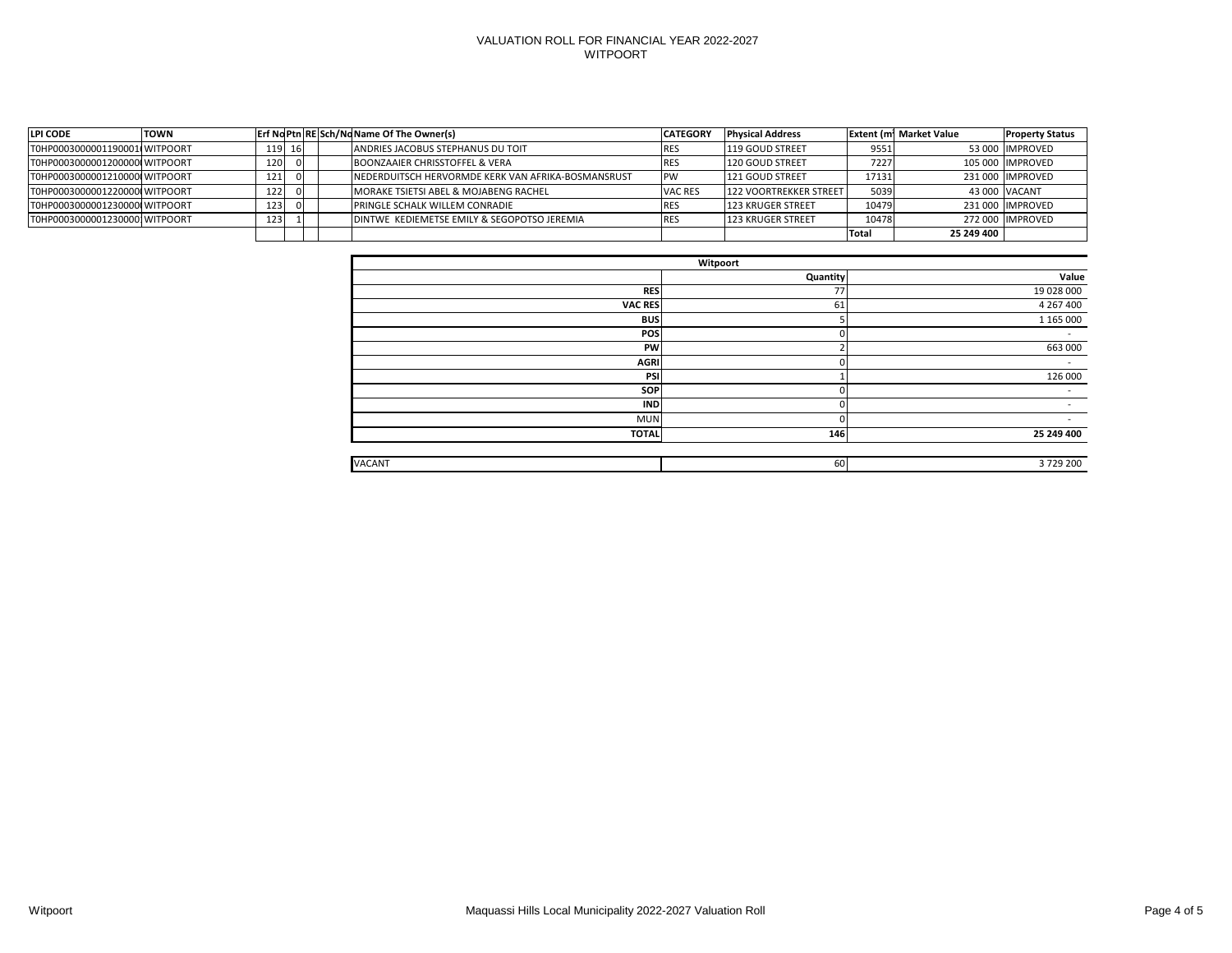| <b>LPI CODE</b>                | <b>TOWN</b> |          |  | <b>Erf No Ptn RESCH/No Name Of The Owner(s)</b>    | <b>CATEGORY</b> | <b>Physical Address</b>  |              | <b>Extent (m1 Market Value</b> | <b>Property Status</b> |
|--------------------------------|-------------|----------|--|----------------------------------------------------|-----------------|--------------------------|--------------|--------------------------------|------------------------|
| T0HP0003000001190001(WITPOORT  |             | $119$ 16 |  | ANDRIES JACOBUS STEPHANUS DU TOIT                  | RES             | 119 GOUD STREET          | 9551         |                                | 53 000 IMPROVED        |
| T0HP00030000012000000 WITPOORT |             | 120      |  | BOONZAAIER CHRISSTOFFEL & VERA                     | RC.             | 120 GOUD STREET          | 7227         |                                | 105 000 IIMPROVED      |
| T0HP00030000012100000 WITPOORT |             | 121      |  | NEDERDUITSCH HERVORMDE KERK VAN AFRIKA-BOSMANSRUST | PW              | 121 GOUD STREET          | 17131        |                                | 231 000 IIMPROVED      |
| T0HP00030000012200000 WITPOORT |             | 122      |  | MORAKE TSIETSI ABEL & MOJABENG RACHEL              | <b>VAC RES</b>  | 122 VOORTREKKER STREET   | 5039         |                                | 43 000 VACANT          |
| T0HP00030000012300000 WITPOORT |             | 123      |  | <b>PRINGLE SCHALK WILLEM CONRADIE</b>              | KES             | <b>123 KRUGER STREET</b> | 10479        |                                | 231 000 IMPROVED       |
| T0HP00030000012300001WITPOORT  |             | 123      |  | DINTWE KEDIEMETSE EMILY & SEGOPOTSO JEREMIA        | RES             | <b>123 KRUGER STREET</b> | 10478        |                                | 272 000 IIMPROVED      |
|                                |             |          |  |                                                    |                 |                          | <b>Total</b> | 25 249 400 1                   |                        |

| Witpoort      |                 |                          |  |  |  |  |  |
|---------------|-----------------|--------------------------|--|--|--|--|--|
|               | <b>Quantity</b> | Value                    |  |  |  |  |  |
| <b>RES</b>    | 77              | 19 028 000               |  |  |  |  |  |
| VAC RES       | 61              | 4 267 400                |  |  |  |  |  |
| <b>BUS</b>    |                 | 1 165 000                |  |  |  |  |  |
| <b>POS</b>    | $\overline{0}$  | $\overline{\phantom{a}}$ |  |  |  |  |  |
| <b>PW</b>     |                 | 663 000                  |  |  |  |  |  |
| <b>AGRI</b>   | $\Omega$        | $\sim$                   |  |  |  |  |  |
| PSI           |                 | 126 000                  |  |  |  |  |  |
| <b>SOP</b>    | $\overline{0}$  | $\overline{\phantom{a}}$ |  |  |  |  |  |
| <b>IND</b>    | $\overline{0}$  | $\overline{\phantom{a}}$ |  |  |  |  |  |
| <b>MUN</b>    | $\overline{0}$  | $\overline{\phantom{a}}$ |  |  |  |  |  |
| <b>TOTAL</b>  | 146             | 25 249 400               |  |  |  |  |  |
|               |                 |                          |  |  |  |  |  |
| <b>VACANT</b> | 60              | 3729200                  |  |  |  |  |  |